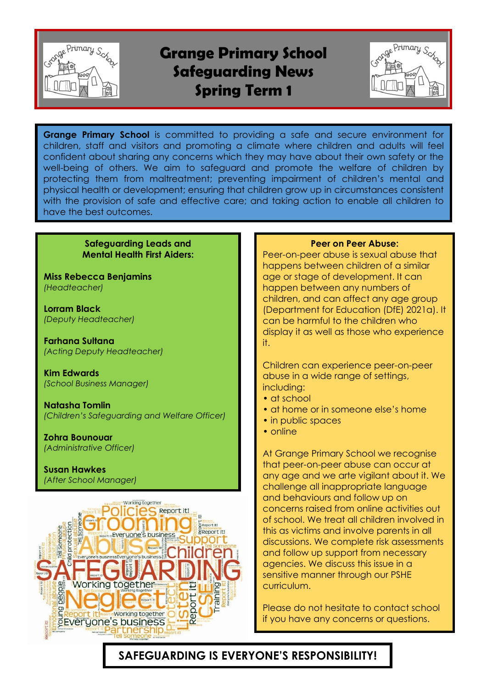

# **Grange Primary School Safeguarding News Spring Term 1**



**Grange Primary School** is committed to providing a safe and secure environment for children, staff and visitors and promoting a climate where children and adults will feel confident about sharing any concerns which they may have about their own safety or the well-being of others. We aim to safeguard and promote the welfare of children by protecting them from maltreatment; preventing impairment of children's mental and physical health or development; ensuring that children grow up in circumstances consistent with the provision of safe and effective care; and taking action to enable all children to have the best outcomes.

### **Safeguarding Leads and Mental Health First Aiders:**

**Miss Rebecca Benjamins** *(Headteacher)*

**Lorram Black** *(Deputy Headteacher)*

**Farhana Sultana** *(Acting Deputy Headteacher)*

**Kim Edwards** *(School Business Manager)*

**Natasha Tomlin** *(Children's Safeguarding and Welfare Officer)*

**Zohra Bounouar** *(Administrative Officer)*

**Susan Hawkes** *(After School Manager)*



#### **Peer on Peer Abuse:**

Peer-on-peer abuse is sexual abuse that happens between children of a similar age or stage of development. It can happen between any numbers of children, and can affect any age group (Department for Education (DfE) 2021a). It can be harmful to the children who display it as well as those who experience it.

Children can experience peer-on-peer abuse in a wide range of settings, including:

- at school
- at home or in someone else's home
- in public spaces
- online

At Grange Primary School we recognise that peer-on-peer abuse can occur at any age and we arte vigilant about it. We challenge all inappropriate language and behaviours and follow up on concerns raised from online activities out of school. We treat all children involved in this as victims and involve parents in all discussions. We complete risk assessments and follow up support from necessary agencies. We discuss this issue in a sensitive manner through our PSHE curriculum.

Please do not hesitate to contact school if you have any concerns or questions.

## **SAFEGUARDING IS EVERYONE'S RESPONSIBILITY!**